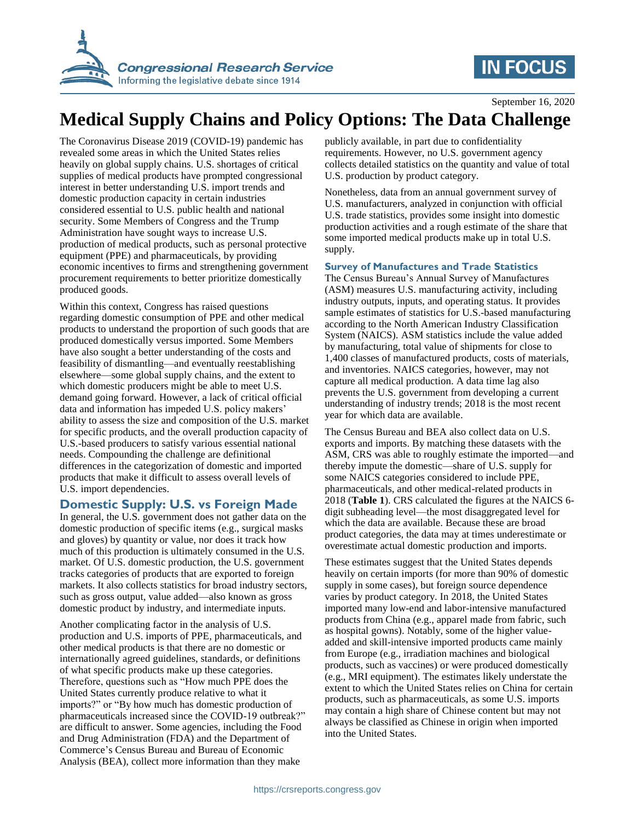

# **IN FOCUS**

September 16, 2020

## **Medical Supply Chains and Policy Options: The Data Challenge**

The Coronavirus Disease 2019 (COVID-19) pandemic has revealed some areas in which the United States relies heavily on global supply chains. U.S. shortages of critical supplies of medical products have prompted congressional interest in better understanding U.S. import trends and domestic production capacity in certain industries considered essential to U.S. public health and national security. Some Members of Congress and the Trump Administration have sought ways to increase U.S. production of medical products, such as personal protective equipment (PPE) and pharmaceuticals, by providing economic incentives to firms and strengthening government procurement requirements to better prioritize domestically produced goods.

Within this context, Congress has raised questions regarding domestic consumption of PPE and other medical products to understand the proportion of such goods that are produced domestically versus imported. Some Members have also sought a better understanding of the costs and feasibility of dismantling—and eventually reestablishing elsewhere—some global supply chains, and the extent to which domestic producers might be able to meet U.S. demand going forward. However, a lack of critical official data and information has impeded U.S. policy makers' ability to assess the size and composition of the U.S. market for specific products, and the overall production capacity of U.S.-based producers to satisfy various essential national needs. Compounding the challenge are definitional differences in the categorization of domestic and imported products that make it difficult to assess overall levels of U.S. import dependencies.

### **Domestic Supply: U.S. vs Foreign Made**

In general, the U.S. government does not gather data on the domestic production of specific items (e.g., surgical masks and gloves) by quantity or value, nor does it track how much of this production is ultimately consumed in the U.S. market. Of U.S. domestic production, the U.S. government tracks categories of products that are exported to foreign markets. It also collects statistics for broad industry sectors, such as gross output, value added—also known as gross domestic product by industry, and intermediate inputs.

Another complicating factor in the analysis of U.S. production and U.S. imports of PPE, pharmaceuticals, and other medical products is that there are no domestic or internationally agreed guidelines, standards, or definitions of what specific products make up these categories. Therefore, questions such as "How much PPE does the United States currently produce relative to what it imports?" or "By how much has domestic production of pharmaceuticals increased since the COVID-19 outbreak?" are difficult to answer. Some agencies, including the Food and Drug Administration (FDA) and the Department of Commerce's Census Bureau and Bureau of Economic Analysis (BEA), collect more information than they make

publicly available, in part due to confidentiality requirements. However, no U.S. government agency collects detailed statistics on the quantity and value of total U.S. production by product category.

Nonetheless, data from an annual government survey of U.S. manufacturers, analyzed in conjunction with official U.S. trade statistics, provides some insight into domestic production activities and a rough estimate of the share that some imported medical products make up in total U.S. supply.

#### **Survey of Manufactures and Trade Statistics**

The Census Bureau's Annual Survey of Manufactures (ASM) measures U.S. manufacturing activity, including industry outputs, inputs, and operating status. It provides sample estimates of statistics for U.S.-based manufacturing according to the North American Industry Classification System (NAICS). ASM statistics include the value added by manufacturing, total value of shipments for close to 1,400 classes of manufactured products, costs of materials, and inventories. NAICS categories, however, may not capture all medical production. A data time lag also prevents the U.S. government from developing a current understanding of industry trends; 2018 is the most recent year for which data are available.

The Census Bureau and BEA also collect data on U.S. exports and imports. By matching these datasets with the ASM, CRS was able to roughly estimate the imported—and thereby impute the domestic—share of U.S. supply for some NAICS categories considered to include PPE, pharmaceuticals, and other medical-related products in 2018 (**Table 1**). CRS calculated the figures at the NAICS 6 digit subheading level—the most disaggregated level for which the data are available. Because these are broad product categories, the data may at times underestimate or overestimate actual domestic production and imports.

These estimates suggest that the United States depends heavily on certain imports (for more than 90% of domestic supply in some cases), but foreign source dependence varies by product category. In 2018, the United States imported many low-end and labor-intensive manufactured products from China (e.g., apparel made from fabric, such as hospital gowns). Notably, some of the higher valueadded and skill-intensive imported products came mainly from Europe (e.g., irradiation machines and biological products, such as vaccines) or were produced domestically (e.g., MRI equipment). The estimates likely understate the extent to which the United States relies on China for certain products, such as pharmaceuticals, as some U.S. imports may contain a high share of Chinese content but may not always be classified as Chinese in origin when imported into the United States.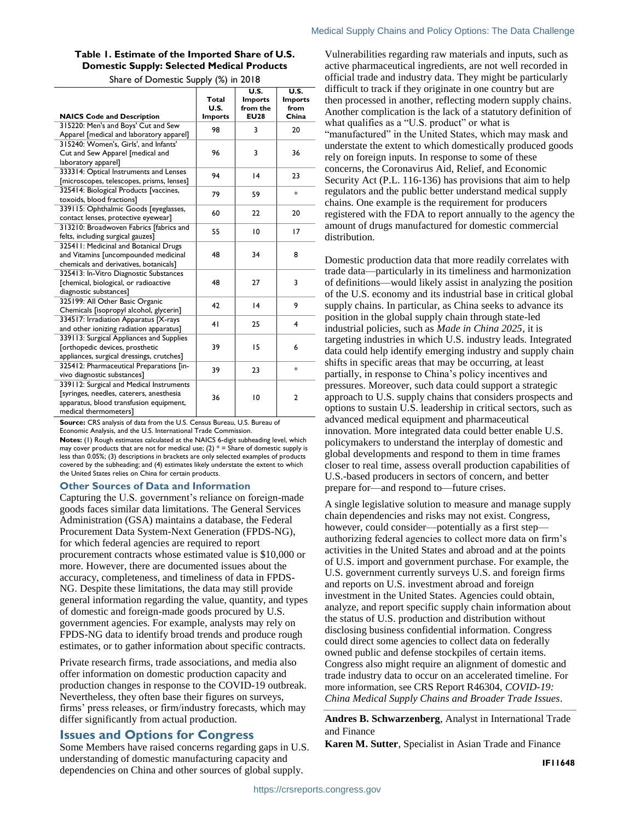#### **Table 1. Estimate of the Imported Share of U.S. Domestic Supply: Selected Medical Products**

Share of Domestic Supply (%) in 2018

| <b>NAICS Code and Description</b>                                                                                                                        | Total<br>U.S.<br><b>Imports</b> | U.S.<br><b>Imports</b><br>from the<br><b>EU28</b> | U.S.<br><b>Imports</b><br>from<br>China |
|----------------------------------------------------------------------------------------------------------------------------------------------------------|---------------------------------|---------------------------------------------------|-----------------------------------------|
| 315220: Men's and Boys' Cut and Sew<br>Apparel [medical and laboratory apparel]                                                                          | 98                              | 3                                                 | 20                                      |
| 315240: Women's, Girls', and Infants'<br>Cut and Sew Apparel [medical and<br>laboratory apparel]                                                         | 96                              | 3                                                 | 36                                      |
| 333314: Optical Instruments and Lenses<br>[microscopes, telescopes, prisms, lenses]                                                                      | 94                              | 4                                                 | 23                                      |
| 325414: Biological Products [vaccines,<br>toxoids, blood fractions]                                                                                      | 79                              | 59                                                | *                                       |
| 339115: Ophthalmic Goods [eyeglasses,<br>contact lenses, protective eyewear]                                                                             | 60                              | 22                                                | 20                                      |
| 313210: Broadwoven Fabrics [fabrics and<br>felts, including surgical gauzes]                                                                             | 55                              | 10                                                | 17                                      |
| 325411: Medicinal and Botanical Drugs<br>and Vitamins [uncompounded medicinal<br>chemicals and derivatives, botanicals]                                  | 48                              | 34                                                | 8                                       |
| 325413: In-Vitro Diagnostic Substances<br>[chemical, biological, or radioactive<br>diagnostic substances]                                                | 48                              | 27                                                | 3                                       |
| 325199: All Other Basic Organic<br>Chemicals [isopropyl alcohol, glycerin]                                                                               | 42                              | 4                                                 | 9                                       |
| 334517: Irradiation Apparatus [X-rays<br>and other ionizing radiation apparatus]                                                                         | 41                              | 25                                                | 4                                       |
| 339113: Surgical Appliances and Supplies<br>[orthopedic devices, prosthetic<br>appliances, surgical dressings, crutches]                                 | 39                              | 15                                                | 6                                       |
| 325412: Pharmaceutical Preparations [in-<br>vivo diagnostic substances]                                                                                  | 39                              | 23                                                | $*$                                     |
| 339112: Surgical and Medical Instruments<br>[syringes, needles, caterers, anesthesia<br>apparatus, blood transfusion equipment,<br>medical thermometers] | 36                              | 10                                                | $\overline{2}$                          |

**Source:** CRS analysis of data from the U.S. Census Bureau, U.S. Bureau of Economic Analysis, and the U.S. International Trade Commission.

**Notes:** (1) Rough estimates calculated at the NAICS 6-digit subheading level, which may cover products that are not for medical use; (2)  $* =$  Share of domestic supply is less than 0.05%; (3) descriptions in brackets are only selected examples of products covered by the subheading; and (4) estimates likely understate the extent to which the United States relies on China for certain products.

#### **Other Sources of Data and Information**

Capturing the U.S. government's reliance on foreign-made goods faces similar data limitations. The General Services Administration (GSA) maintains a database, the Federal Procurement Data System-Next Generation (FPDS-NG), for which federal agencies are required to report procurement contracts whose estimated value is \$10,000 or more. However, there are documented issues about the accuracy, completeness, and timeliness of data in FPDS-NG. Despite these limitations, the data may still provide general information regarding the value, quantity, and types of domestic and foreign-made goods procured by U.S. government agencies. For example, analysts may rely on FPDS-NG data to identify broad trends and produce rough estimates, or to gather information about specific contracts.

Private research firms, trade associations, and media also offer information on domestic production capacity and production changes in response to the COVID-19 outbreak. Nevertheless, they often base their figures on surveys, firms' press releases, or firm/industry forecasts, which may differ significantly from actual production.

#### **Issues and Options for Congress**

Some Members have raised concerns regarding gaps in U.S. understanding of domestic manufacturing capacity and dependencies on China and other sources of global supply.

Vulnerabilities regarding raw materials and inputs, such as active pharmaceutical ingredients, are not well recorded in official trade and industry data. They might be particularly difficult to track if they originate in one country but are then processed in another, reflecting modern supply chains. Another complication is the lack of a statutory definition of what qualifies as a "U.S. product" or what is "manufactured" in the United States, which may mask and understate the extent to which domestically produced goods rely on foreign inputs. In response to some of these concerns, the Coronavirus Aid, Relief, and Economic Security Act (P.L. 116-136) has provisions that aim to help regulators and the public better understand medical supply chains. One example is the requirement for producers registered with the FDA to report annually to the agency the amount of drugs manufactured for domestic commercial distribution.

Domestic production data that more readily correlates with trade data—particularly in its timeliness and harmonization of definitions—would likely assist in analyzing the position of the U.S. economy and its industrial base in critical global supply chains. In particular, as China seeks to advance its position in the global supply chain through state-led industrial policies, such as *Made in China 2025*, it is targeting industries in which U.S. industry leads. Integrated data could help identify emerging industry and supply chain shifts in specific areas that may be occurring, at least partially, in response to China's policy incentives and pressures. Moreover, such data could support a strategic approach to U.S. supply chains that considers prospects and options to sustain U.S. leadership in critical sectors, such as advanced medical equipment and pharmaceutical innovation. More integrated data could better enable U.S. policymakers to understand the interplay of domestic and global developments and respond to them in time frames closer to real time, assess overall production capabilities of U.S.-based producers in sectors of concern, and better prepare for—and respond to—future crises.

A single legislative solution to measure and manage supply chain dependencies and risks may not exist. Congress, however, could consider—potentially as a first step authorizing federal agencies to collect more data on firm's activities in the United States and abroad and at the points of U.S. import and government purchase. For example, the U.S. government currently surveys U.S. and foreign firms and reports on U.S. investment abroad and foreign investment in the United States. Agencies could obtain, analyze, and report specific supply chain information about the status of U.S. production and distribution without disclosing business confidential information. Congress could direct some agencies to collect data on federally owned public and defense stockpiles of certain items. Congress also might require an alignment of domestic and trade industry data to occur on an accelerated timeline. For more information, see CRS Report R46304, *COVID-19: China Medical Supply Chains and Broader Trade Issues*.

**Andres B. Schwarzenberg**, Analyst in International Trade and Finance

**Karen M. Sutter**, Specialist in Asian Trade and Finance